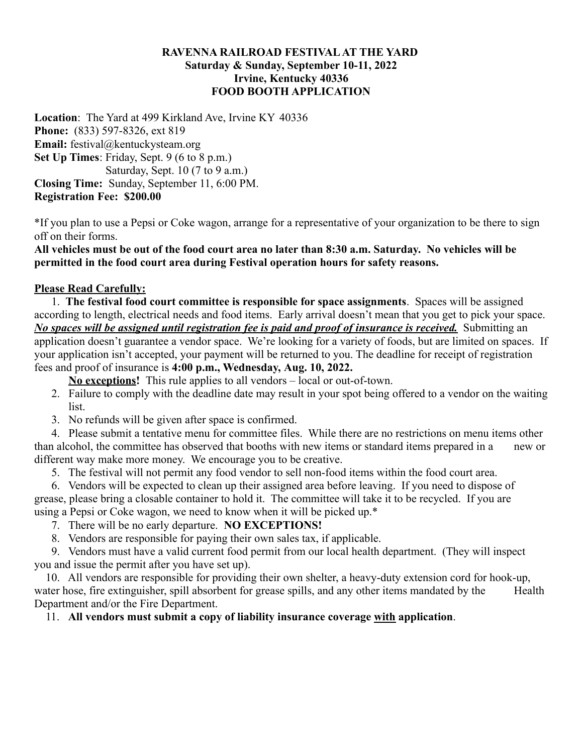## **RAVENNA RAILROAD FESTIVALAT THE YARD Saturday & Sunday, September 10-11, 2022 Irvine, Kentucky 40336 FOOD BOOTH APPLICATION**

**Location**: The Yard at 499 Kirkland Ave, Irvine KY 40336 **Phone:** (833) 597-8326, ext 819 **Email:** festival@kentuckysteam.org **Set Up Times**: Friday, Sept. 9 (6 to 8 p.m.) Saturday, Sept. 10 (7 to 9 a.m.) **Closing Time:** Sunday, September 11, 6:00 PM. **Registration Fee: \$200.00**

\*If you plan to use a Pepsi or Coke wagon, arrange for a representative of your organization to be there to sign off on their forms.

**All vehicles must be out of the food court area no later than 8:30 a.m. Saturday. No vehicles will be permitted in the food court area during Festival operation hours for safety reasons.**

## **Please Read Carefully:**

1. **The festival food court committee is responsible for space assignments**. Spaces will be assigned according to length, electrical needs and food items. Early arrival doesn't mean that you get to pick your space. *No spaces will be assigned until registration fee is paid and proof of insurance is received.* Submitting an application doesn't guarantee a vendor space. We're looking for a variety of foods, but are limited on spaces. If your application isn't accepted, your payment will be returned to you. The deadline for receipt of registration fees and proof of insurance is **4:00 p.m., Wednesday, Aug. 10, 2022.**

**No exceptions!** This rule applies to all vendors – local or out-of-town.

- 2. Failure to comply with the deadline date may result in your spot being offered to a vendor on the waiting list.
- 3. No refunds will be given after space is confirmed.

4. Please submit a tentative menu for committee files. While there are no restrictions on menu items other than alcohol, the committee has observed that booths with new items or standard items prepared in a new or different way make more money. We encourage you to be creative.

5. The festival will not permit any food vendor to sell non-food items within the food court area.

6. Vendors will be expected to clean up their assigned area before leaving. If you need to dispose of grease, please bring a closable container to hold it. The committee will take it to be recycled. If you are using a Pepsi or Coke wagon, we need to know when it will be picked up.\*

- 7. There will be no early departure. **NO EXCEPTIONS!**
- 8. Vendors are responsible for paying their own sales tax, if applicable.

9. Vendors must have a valid current food permit from our local health department. (They will inspect you and issue the permit after you have set up).

10. All vendors are responsible for providing their own shelter, a heavy-duty extension cord for hook-up, water hose, fire extinguisher, spill absorbent for grease spills, and any other items mandated by the Health Department and/or the Fire Department.

11. **All vendors must submit a copy of liability insurance coverage with application**.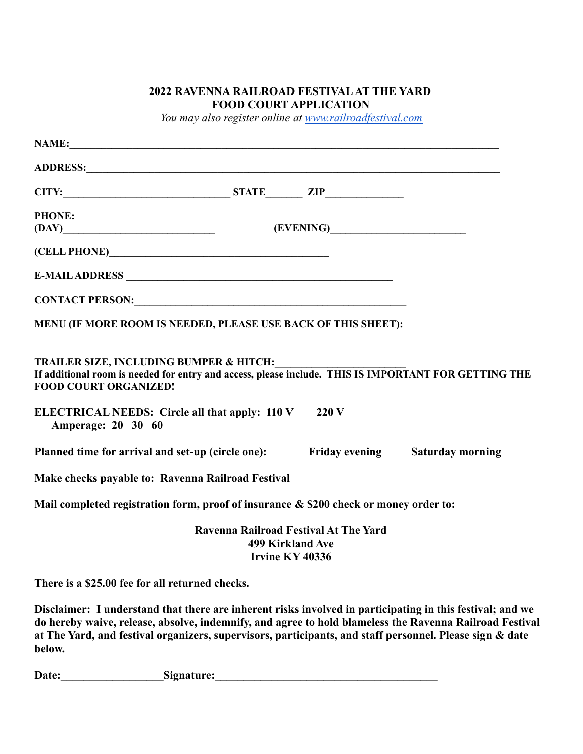## **2022 RAVENNA RAILROAD FESTIVALAT THE YARD FOOD COURT APPLICATION**

*You may also register online at [www.railroadfestival.com](http://www.railroadfestival.com)*

|                                                   | 220V |                                                                                                                                                                                                                                                                                                                                                                                                                                                                                                                                                                                                                                                                                                                                                                                                               |
|---------------------------------------------------|------|---------------------------------------------------------------------------------------------------------------------------------------------------------------------------------------------------------------------------------------------------------------------------------------------------------------------------------------------------------------------------------------------------------------------------------------------------------------------------------------------------------------------------------------------------------------------------------------------------------------------------------------------------------------------------------------------------------------------------------------------------------------------------------------------------------------|
|                                                   |      |                                                                                                                                                                                                                                                                                                                                                                                                                                                                                                                                                                                                                                                                                                                                                                                                               |
| Make checks payable to: Ravenna Railroad Festival |      |                                                                                                                                                                                                                                                                                                                                                                                                                                                                                                                                                                                                                                                                                                                                                                                                               |
|                                                   |      |                                                                                                                                                                                                                                                                                                                                                                                                                                                                                                                                                                                                                                                                                                                                                                                                               |
|                                                   |      |                                                                                                                                                                                                                                                                                                                                                                                                                                                                                                                                                                                                                                                                                                                                                                                                               |
| There is a \$25.00 fee for all returned checks.   |      |                                                                                                                                                                                                                                                                                                                                                                                                                                                                                                                                                                                                                                                                                                                                                                                                               |
|                                                   |      | NAME:<br>$(DAY)$ (EVENING)<br>CONTACT PERSON: University of the contract of the contract of the contract of the contract of the contract of the contract of the contract of the contract of the contract of the contract of the contract of the contract of<br>MENU (IF MORE ROOM IS NEEDED, PLEASE USE BACK OF THIS SHEET):<br>TRAILER SIZE, INCLUDING BUMPER & HITCH:<br>If additional room is needed for entry and access, please include. THIS IS IMPORTANT FOR GETTING THE<br>ELECTRICAL NEEDS: Circle all that apply: 110 V<br>Planned time for arrival and set-up (circle one): Friday evening Saturday morning<br>Mail completed registration form, proof of insurance & \$200 check or money order to:<br>Ravenna Railroad Festival At The Yard<br><b>499 Kirkland Ave</b><br><b>Irvine KY 40336</b> |

**Disclaimer: I understand that there are inherent risks involved in participating in this festival; and we do hereby waive, release, absolve, indemnify, and agree to hold blameless the Ravenna Railroad Festival at The Yard, and festival organizers, supervisors, participants, and staff personnel. Please sign & date below.**

**Date:\_\_\_\_\_\_\_\_\_\_\_\_\_\_\_\_\_\_Signature:\_\_\_\_\_\_\_\_\_\_\_\_\_\_\_\_\_\_\_\_\_\_\_\_\_\_\_\_\_\_\_\_\_\_\_\_\_\_\_**